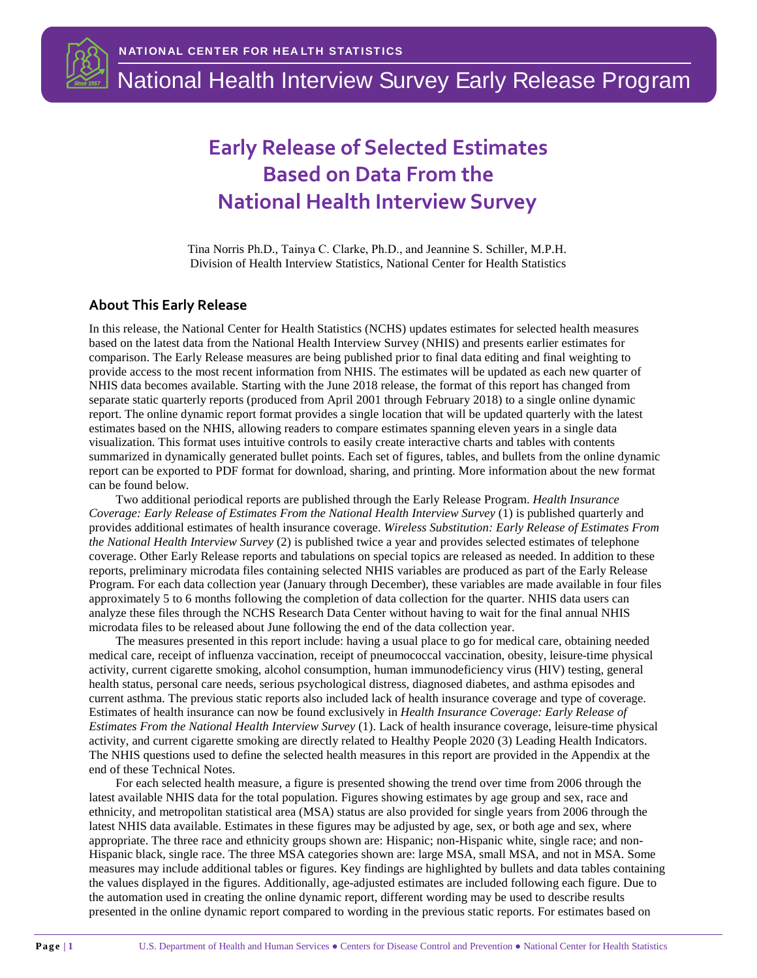

# National Health Interview Survey Early Release Program

# **Early Release of Selected Estimates Based on Data From the National Health Interview Survey**

Tina Norris Ph.D., Tainya C. Clarke, Ph.D., and Jeannine S. Schiller, M.P.H. Division of Health Interview Statistics, National Center for Health Statistics

#### **About This Early Release**

In this release, the National Center for Health Statistics (NCHS) updates estimates for selected health measures based on the latest data from the National Health Interview Survey (NHIS) and presents earlier estimates for comparison. The Early Release measures are being published prior to final data editing and final weighting to provide access to the most recent information from NHIS. The estimates will be updated as each new quarter of NHIS data becomes available. Starting with the June 2018 release, the format of this report has changed from separate static quarterly reports (produced from April 2001 through February 2018) to a single online dynamic report. The online dynamic report format provides a single location that will be updated quarterly with the latest estimates based on the NHIS, allowing readers to compare estimates spanning eleven years in a single data visualization. This format uses intuitive controls to easily create interactive charts and tables with contents summarized in dynamically generated bullet points. Each set of figures, tables, and bullets from the online dynamic report can be exported to PDF format for download, sharing, and printing. More information about the new format can be found below.

Two additional periodical reports are published through the Early Release Program. *Health Insurance Coverage: Early Release of Estimates From the National Health Interview Survey* (1) is published quarterly and provides additional estimates of health insurance coverage. *Wireless Substitution: Early Release of Estimates From the National Health Interview Survey* (2) is published twice a year and provides selected estimates of telephone coverage. Other Early Release reports and tabulations on special topics are released as needed. In addition to these reports, preliminary microdata files containing selected NHIS variables are produced as part of the Early Release Program. For each data collection year (January through December), these variables are made available in four files approximately 5 to 6 months following the completion of data collection for the quarter. NHIS data users can analyze these files through the NCHS Research Data Center without having to wait for the final annual NHIS microdata files to be released about June following the end of the data collection year.

The measures presented in this report include: having a usual place to go for medical care, obtaining needed medical care, receipt of influenza vaccination, receipt of pneumococcal vaccination, obesity, leisure-time physical activity, current cigarette smoking, alcohol consumption, human immunodeficiency virus (HIV) testing, general health status, personal care needs, serious psychological distress, diagnosed diabetes, and asthma episodes and current asthma. The previous static reports also included lack of health insurance coverage and type of coverage. Estimates of health insurance can now be found exclusively in *Health Insurance Coverage: Early Release of Estimates From the National Health Interview Survey* (1). Lack of health insurance coverage, leisure-time physical activity, and current cigarette smoking are directly related to Healthy People 2020 (3) Leading Health Indicators. The NHIS questions used to define the selected health measures in this report are provided in the Appendix at the end of these Technical Notes.

For each selected health measure, a figure is presented showing the trend over time from 2006 through the latest available NHIS data for the total population. Figures showing estimates by age group and sex, race and ethnicity, and metropolitan statistical area (MSA) status are also provided for single years from 2006 through the latest NHIS data available. Estimates in these figures may be adjusted by age, sex, or both age and sex, where appropriate. The three race and ethnicity groups shown are: Hispanic; non-Hispanic white, single race; and non-Hispanic black, single race. The three MSA categories shown are: large MSA, small MSA, and not in MSA. Some measures may include additional tables or figures. Key findings are highlighted by bullets and data tables containing the values displayed in the figures. Additionally, age-adjusted estimates are included following each figure. Due to the automation used in creating the online dynamic report, different wording may be used to describe results presented in the online dynamic report compared to wording in the previous static reports. For estimates based on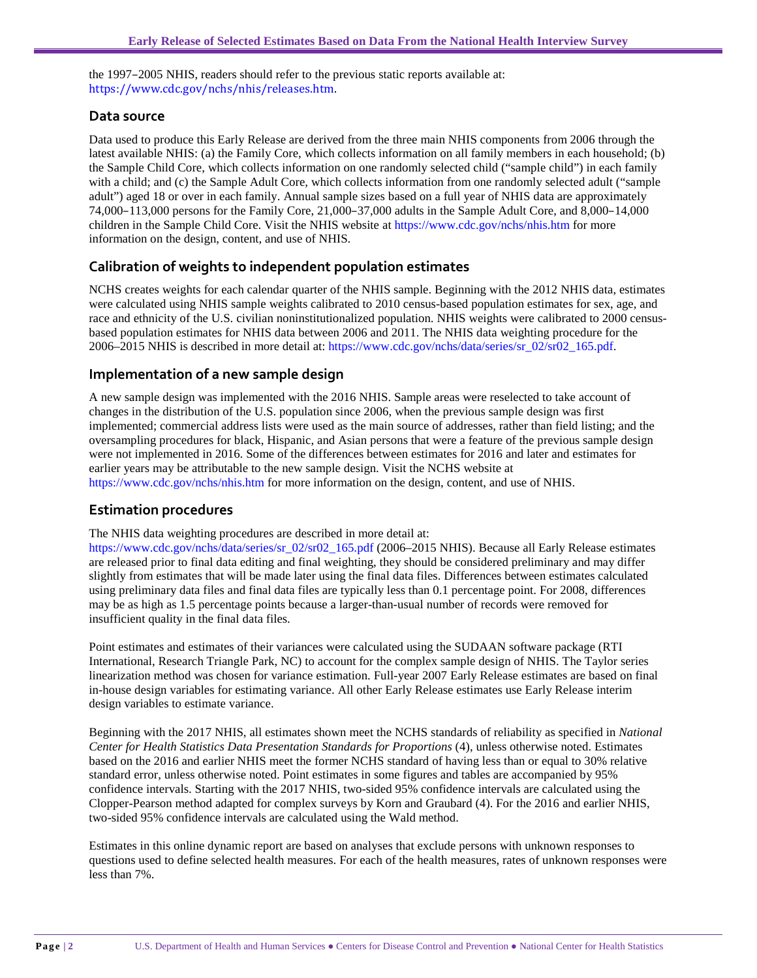the 1997–2005 NHIS, readers should refer to the previous static reports available at: [https://www.cdc.gov/nchs/nhis/releases.htm.](https://www.cdc.gov/nchs/nhis/releases.htm)

#### **Data source**

Data used to produce this Early Release are derived from the three main NHIS components from 2006 through the latest available NHIS: (a) the Family Core, which collects information on all family members in each household; (b) the Sample Child Core, which collects information on one randomly selected child ("sample child") in each family with a child; and (c) the Sample Adult Core, which collects information from one randomly selected adult ("sample adult") aged 18 or over in each family. Annual sample sizes based on a full year of NHIS data are approximately 74,000–113,000 persons for the Family Core, 21,000–37,000 adults in the Sample Adult Core, and 8,000–14,000 children in the Sample Child Core. Visit the NHIS website at [https://www.cdc.gov/nchs/nhis.htm](http://www.cdc.gov/nchs/nhis.htm) for more information on the design, content, and use of NHIS.

#### **Calibration of weights to independent population estimates**

NCHS creates weights for each calendar quarter of the NHIS sample. Beginning with the 2012 NHIS data, estimates were calculated using NHIS sample weights calibrated to 2010 census-based population estimates for sex, age, and race and ethnicity of the U.S. civilian noninstitutionalized population. NHIS weights were calibrated to 2000 censusbased population estimates for NHIS data between 2006 and 2011. The NHIS data weighting procedure for the 2006–2015 NHIS is described in more detail at: [https://www.cdc.gov/nchs/data/series/sr\\_02/sr02\\_165.pdf.](http://www.cdc.gov/nchs/data/series/sr_02/sr02_165.pdf)

#### **Implementation of a new sample design**

A new sample design was implemented with the 2016 NHIS. Sample areas were reselected to take account of changes in the distribution of the U.S. population since 2006, when the previous sample design was first implemented; commercial address lists were used as the main source of addresses, rather than field listing; and the oversampling procedures for black, Hispanic, and Asian persons that were a feature of the previous sample design were not implemented in 2016. Some of the differences between estimates for 2016 and later and estimates for earlier years may be attributable to the new sample design. Visit the NCHS website at [https://www.cdc.gov/nchs/nhis.htm](http://www.cdc.gov/nchs/nhis.htm) for more information on the design, content, and use of NHIS.

#### **Estimation procedures**

The NHIS data weighting procedures are described in more detail at:

[https://www.cdc.gov/nchs/data/series/sr\\_02/sr02\\_165.pdf](http://www.cdc.gov/nchs/data/series/sr_02/sr02_165.pdf) (2006–2015 NHIS). Because all Early Release estimates are released prior to final data editing and final weighting, they should be considered preliminary and may differ slightly from estimates that will be made later using the final data files. Differences between estimates calculated using preliminary data files and final data files are typically less than 0.1 percentage point. For 2008, differences may be as high as 1.5 percentage points because a larger-than-usual number of records were removed for insufficient quality in the final data files.

Point estimates and estimates of their variances were calculated using the SUDAAN software package (RTI International, Research Triangle Park, NC) to account for the complex sample design of NHIS. The Taylor series linearization method was chosen for variance estimation. Full-year 2007 Early Release estimates are based on final in-house design variables for estimating variance. All other Early Release estimates use Early Release interim design variables to estimate variance.

Beginning with the 2017 NHIS, all estimates shown meet the NCHS standards of reliability as specified in *National Center for Health Statistics Data Presentation Standards for Proportions* (4), unless otherwise noted. Estimates based on the 2016 and earlier NHIS meet the former NCHS standard of having less than or equal to 30% relative standard error, unless otherwise noted. Point estimates in some figures and tables are accompanied by 95% confidence intervals. Starting with the 2017 NHIS, two-sided 95% confidence intervals are calculated using the Clopper-Pearson method adapted for complex surveys by Korn and Graubard (4). For the 2016 and earlier NHIS, two-sided 95% confidence intervals are calculated using the Wald method.

Estimates in this online dynamic report are based on analyses that exclude persons with unknown responses to questions used to define selected health measures. For each of the health measures, rates of unknown responses were less than 7%.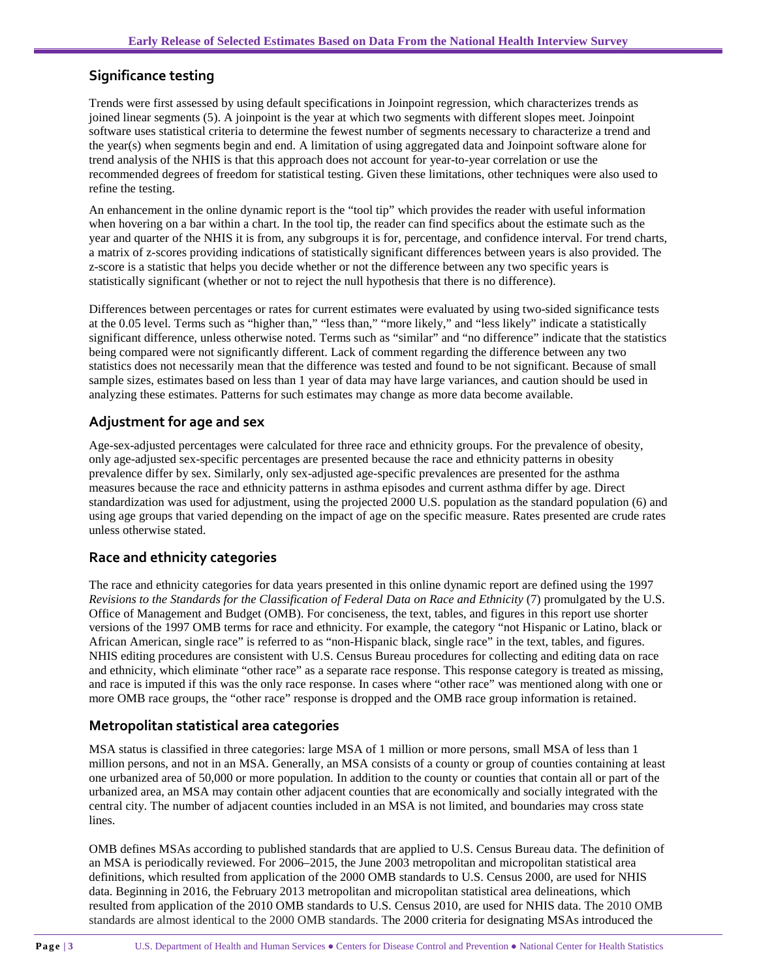#### **Significance testing**

Trends were first assessed by using default specifications in Joinpoint regression, which characterizes trends as joined linear segments (5). A joinpoint is the year at which two segments with different slopes meet. Joinpoint software uses statistical criteria to determine the fewest number of segments necessary to characterize a trend and the year(s) when segments begin and end. A limitation of using aggregated data and Joinpoint software alone for trend analysis of the NHIS is that this approach does not account for year-to-year correlation or use the recommended degrees of freedom for statistical testing. Given these limitations, other techniques were also used to refine the testing.

An enhancement in the online dynamic report is the "tool tip" which provides the reader with useful information when hovering on a bar within a chart. In the tool tip, the reader can find specifics about the estimate such as the year and quarter of the NHIS it is from, any subgroups it is for, percentage, and confidence interval. For trend charts, a matrix of z-scores providing indications of statistically significant differences between years is also provided. The z-score is a statistic that helps you decide whether or not the difference between any two specific years is statistically significant (whether or not to reject the null hypothesis that there is no difference).

Differences between percentages or rates for current estimates were evaluated by using two-sided significance tests at the 0.05 level. Terms such as "higher than," "less than," "more likely," and "less likely" indicate a statistically significant difference, unless otherwise noted. Terms such as "similar" and "no difference" indicate that the statistics being compared were not significantly different. Lack of comment regarding the difference between any two statistics does not necessarily mean that the difference was tested and found to be not significant. Because of small sample sizes, estimates based on less than 1 year of data may have large variances, and caution should be used in analyzing these estimates. Patterns for such estimates may change as more data become available.

### **Adjustment for age and sex**

Age-sex-adjusted percentages were calculated for three race and ethnicity groups. For the prevalence of obesity, only age-adjusted sex-specific percentages are presented because the race and ethnicity patterns in obesity prevalence differ by sex. Similarly, only sex-adjusted age-specific prevalences are presented for the asthma measures because the race and ethnicity patterns in asthma episodes and current asthma differ by age. Direct standardization was used for adjustment, using the projected 2000 U.S. population as the standard population (6) and using age groups that varied depending on the impact of age on the specific measure. Rates presented are crude rates unless otherwise stated.

### **Race and ethnicity categories**

The race and ethnicity categories for data years presented in this online dynamic report are defined using the 1997 *Revisions to the Standards for the Classification of Federal Data on Race and Ethnicity* (7) promulgated by the U.S. Office of Management and Budget (OMB). For conciseness, the text, tables, and figures in this report use shorter versions of the 1997 OMB terms for race and ethnicity. For example, the category "not Hispanic or Latino, black or African American, single race" is referred to as "non-Hispanic black, single race" in the text, tables, and figures. NHIS editing procedures are consistent with U.S. Census Bureau procedures for collecting and editing data on race and ethnicity, which eliminate "other race" as a separate race response. This response category is treated as missing, and race is imputed if this was the only race response. In cases where "other race" was mentioned along with one or more OMB race groups, the "other race" response is dropped and the OMB race group information is retained.

#### **Metropolitan statistical area categories**

MSA status is classified in three categories: large MSA of 1 million or more persons, small MSA of less than 1 million persons, and not in an MSA. Generally, an MSA consists of a county or group of counties containing at least one urbanized area of 50,000 or more population. In addition to the county or counties that contain all or part of the urbanized area, an MSA may contain other adjacent counties that are economically and socially integrated with the central city. The number of adjacent counties included in an MSA is not limited, and boundaries may cross state lines.

OMB defines MSAs according to published standards that are applied to U.S. Census Bureau data. The definition of an MSA is periodically reviewed. For 2006–2015, the June 2003 metropolitan and micropolitan statistical area definitions, which resulted from application of the 2000 OMB standards to U.S. Census 2000, are used for NHIS data. Beginning in 2016, the February 2013 metropolitan and micropolitan statistical area delineations, which resulted from application of the 2010 OMB standards to U.S. Census 2010, are used for NHIS data. The 2010 OMB standards are almost identical to the 2000 OMB standards. The 2000 criteria for designating MSAs introduced the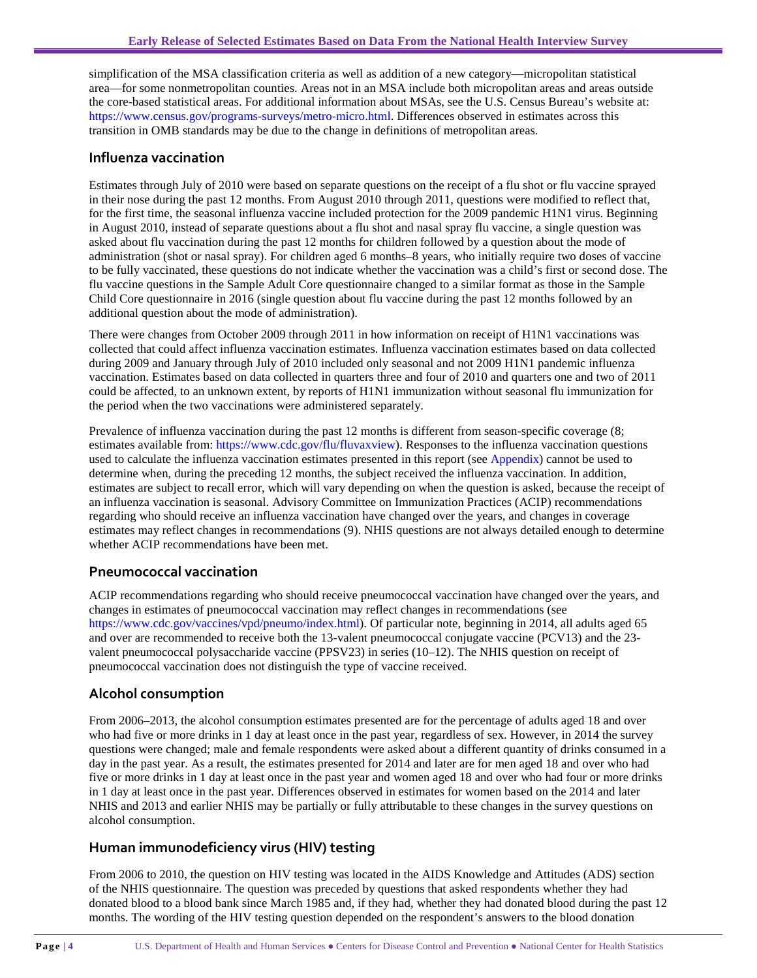simplification of the MSA classification criteria as well as addition of a new category—micropolitan statistical area—for some nonmetropolitan counties. Areas not in an MSA include both micropolitan areas and areas outside the core-based statistical areas. For additional information about MSAs, see the U.S. Census Bureau's website at: https://www.census.gov/programs-surveys/metro-micro.html. Differences observed in estimates across this transition in OMB standards may be due to the change in definitions of metropolitan areas.

#### **Influenza vaccination**

Estimates through July of 2010 were based on separate questions on the receipt of a flu shot or flu vaccine sprayed in their nose during the past 12 months. From August 2010 through 2011, questions were modified to reflect that, for the first time, the seasonal influenza vaccine included protection for the 2009 pandemic H1N1 virus. Beginning in August 2010, instead of separate questions about a flu shot and nasal spray flu vaccine, a single question was asked about flu vaccination during the past 12 months for children followed by a question about the mode of administration (shot or nasal spray). For children aged 6 months–8 years, who initially require two doses of vaccine to be fully vaccinated, these questions do not indicate whether the vaccination was a child's first or second dose. The flu vaccine questions in the Sample Adult Core questionnaire changed to a similar format as those in the Sample Child Core questionnaire in 2016 (single question about flu vaccine during the past 12 months followed by an additional question about the mode of administration).

There were changes from October 2009 through 2011 in how information on receipt of H1N1 vaccinations was collected that could affect influenza vaccination estimates. Influenza vaccination estimates based on data collected during 2009 and January through July of 2010 included only seasonal and not 2009 H1N1 pandemic influenza vaccination. Estimates based on data collected in quarters three and four of 2010 and quarters one and two of 2011 could be affected, to an unknown extent, by reports of H1N1 immunization without seasonal flu immunization for the period when the two vaccinations were administered separately.

Prevalence of influenza vaccination during the past 12 months is different from season-specific coverage (8; estimates available from: [https://www.cdc.gov/flu/fluvaxview\)](http://www.cdc.gov/flu/fluvaxview). Responses to the influenza vaccination questions used to calculate the influenza vaccination estimates presented in this report (see [Appendix\)](#page-6-0) cannot be used to determine when, during the preceding 12 months, the subject received the influenza vaccination. In addition, estimates are subject to recall error, which will vary depending on when the question is asked, because the receipt of an influenza vaccination is seasonal. Advisory Committee on Immunization Practices (ACIP) recommendations regarding who should receive an influenza vaccination have changed over the years, and changes in coverage estimates may reflect changes in recommendations (9). NHIS questions are not always detailed enough to determine whether ACIP recommendations have been met.

#### **Pneumococcal vaccination**

ACIP recommendations regarding who should receive pneumococcal vaccination have changed over the years, and changes in estimates of pneumococcal vaccination may reflect changes in recommendations (see [https://www.cdc.gov/vaccines/vpd/pneumo/index.html\)](https://www.cdc.gov/vaccines/vpd/pneumo/index.html). Of particular note, beginning in 2014, all adults aged 65 and over are recommended to receive both the 13-valent pneumococcal conjugate vaccine (PCV13) and the 23 valent pneumococcal polysaccharide vaccine (PPSV23) in series (10–12). The NHIS question on receipt of pneumococcal vaccination does not distinguish the type of vaccine received.

#### **Alcohol consumption**

From 2006–2013, the alcohol consumption estimates presented are for the percentage of adults aged 18 and over who had five or more drinks in 1 day at least once in the past year, regardless of sex. However, in 2014 the survey questions were changed; male and female respondents were asked about a different quantity of drinks consumed in a day in the past year. As a result, the estimates presented for 2014 and later are for men aged 18 and over who had five or more drinks in 1 day at least once in the past year and women aged 18 and over who had four or more drinks in 1 day at least once in the past year. Differences observed in estimates for women based on the 2014 and later NHIS and 2013 and earlier NHIS may be partially or fully attributable to these changes in the survey questions on alcohol consumption.

#### **Human immunodeficiency virus (HIV) testing**

From 2006 to 2010, the question on HIV testing was located in the AIDS Knowledge and Attitudes (ADS) section of the NHIS questionnaire. The question was preceded by questions that asked respondents whether they had donated blood to a blood bank since March 1985 and, if they had, whether they had donated blood during the past 12 months. The wording of the HIV testing question depended on the respondent's answers to the blood donation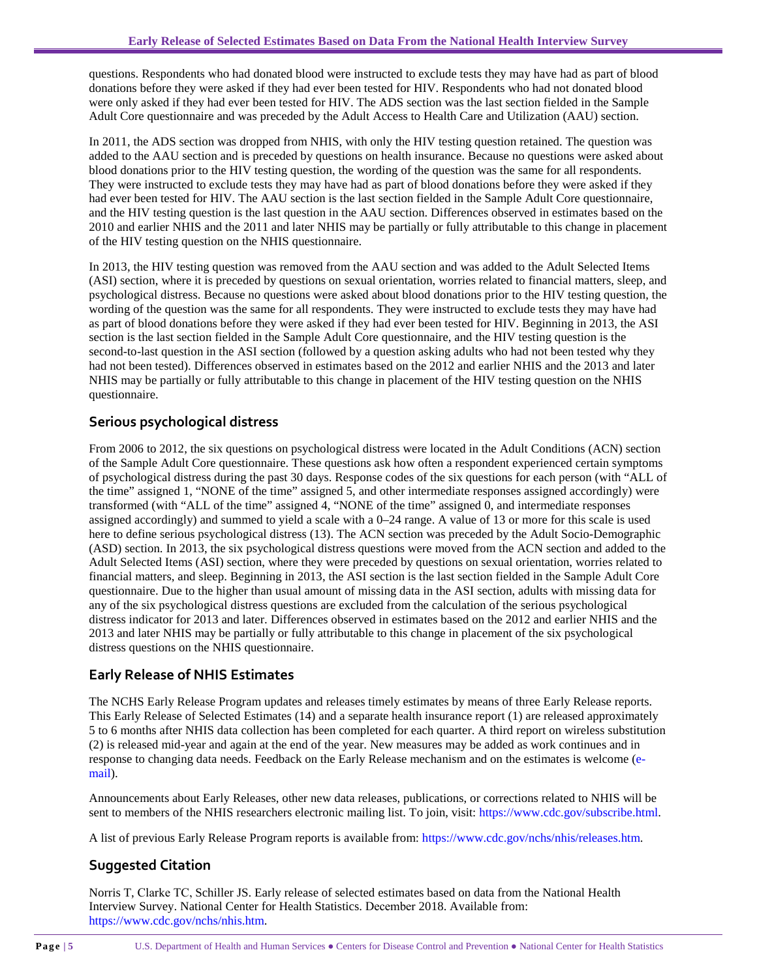questions. Respondents who had donated blood were instructed to exclude tests they may have had as part of blood donations before they were asked if they had ever been tested for HIV. Respondents who had not donated blood were only asked if they had ever been tested for HIV. The ADS section was the last section fielded in the Sample Adult Core questionnaire and was preceded by the Adult Access to Health Care and Utilization (AAU) section.

In 2011, the ADS section was dropped from NHIS, with only the HIV testing question retained. The question was added to the AAU section and is preceded by questions on health insurance. Because no questions were asked about blood donations prior to the HIV testing question, the wording of the question was the same for all respondents. They were instructed to exclude tests they may have had as part of blood donations before they were asked if they had ever been tested for HIV. The AAU section is the last section fielded in the Sample Adult Core questionnaire, and the HIV testing question is the last question in the AAU section. Differences observed in estimates based on the 2010 and earlier NHIS and the 2011 and later NHIS may be partially or fully attributable to this change in placement of the HIV testing question on the NHIS questionnaire.

In 2013, the HIV testing question was removed from the AAU section and was added to the Adult Selected Items (ASI) section, where it is preceded by questions on sexual orientation, worries related to financial matters, sleep, and psychological distress. Because no questions were asked about blood donations prior to the HIV testing question, the wording of the question was the same for all respondents. They were instructed to exclude tests they may have had as part of blood donations before they were asked if they had ever been tested for HIV. Beginning in 2013, the ASI section is the last section fielded in the Sample Adult Core questionnaire, and the HIV testing question is the second-to-last question in the ASI section (followed by a question asking adults who had not been tested why they had not been tested). Differences observed in estimates based on the 2012 and earlier NHIS and the 2013 and later NHIS may be partially or fully attributable to this change in placement of the HIV testing question on the NHIS questionnaire.

## **Serious psychological distress**

From 2006 to 2012, the six questions on psychological distress were located in the Adult Conditions (ACN) section of the Sample Adult Core questionnaire. These questions ask how often a respondent experienced certain symptoms of psychological distress during the past 30 days. Response codes of the six questions for each person (with "ALL of the time" assigned 1, "NONE of the time" assigned 5, and other intermediate responses assigned accordingly) were transformed (with "ALL of the time" assigned 4, "NONE of the time" assigned 0, and intermediate responses assigned accordingly) and summed to yield a scale with a 0–24 range. A value of 13 or more for this scale is used here to define serious psychological distress (13). The ACN section was preceded by the Adult Socio-Demographic (ASD) section. In 2013, the six psychological distress questions were moved from the ACN section and added to the Adult Selected Items (ASI) section, where they were preceded by questions on sexual orientation, worries related to financial matters, and sleep. Beginning in 2013, the ASI section is the last section fielded in the Sample Adult Core questionnaire. Due to the higher than usual amount of missing data in the ASI section, adults with missing data for any of the six psychological distress questions are excluded from the calculation of the serious psychological distress indicator for 2013 and later. Differences observed in estimates based on the 2012 and earlier NHIS and the 2013 and later NHIS may be partially or fully attributable to this change in placement of the six psychological distress questions on the NHIS questionnaire.

## **Early Release of NHIS Estimates**

The NCHS Early Release Program updates and releases timely estimates by means of three Early Release reports. This Early Release of Selected Estimates (14) and a separate health insurance report (1) are released approximately 5 to 6 months after NHIS data collection has been completed for each quarter. A third report on wireless substitution (2) is released mid-year and again at the end of the year. New measures may be added as work continues and in response to changing data needs. Feedback on the Early Release mechanism and on the estimates is welcome [\(e](mailto:nhislist@cdc.gov)[mail\)](mailto:nhislist@cdc.gov).

Announcements about Early Releases, other new data releases, publications, or corrections related to NHIS will be sent to members of the NHIS researchers electronic mailing list. To join, visit: https://www.cdc.gov/subscribe.html.

A list of previous Early Release Program reports is available from[: https://www.cdc.gov/nchs/nhis/releases.htm.](http://www.cdc.gov/nchs/nhis/releases.htm)

# **Suggested Citation**

Norris T, Clarke TC, Schiller JS. Early release of selected estimates based on data from the National Health Interview Survey. National Center for Health Statistics. December 2018. Available from: [https://www.cdc.gov/nchs/nhis.htm.](http://www.cdc.gov/nchs/nhis.htm)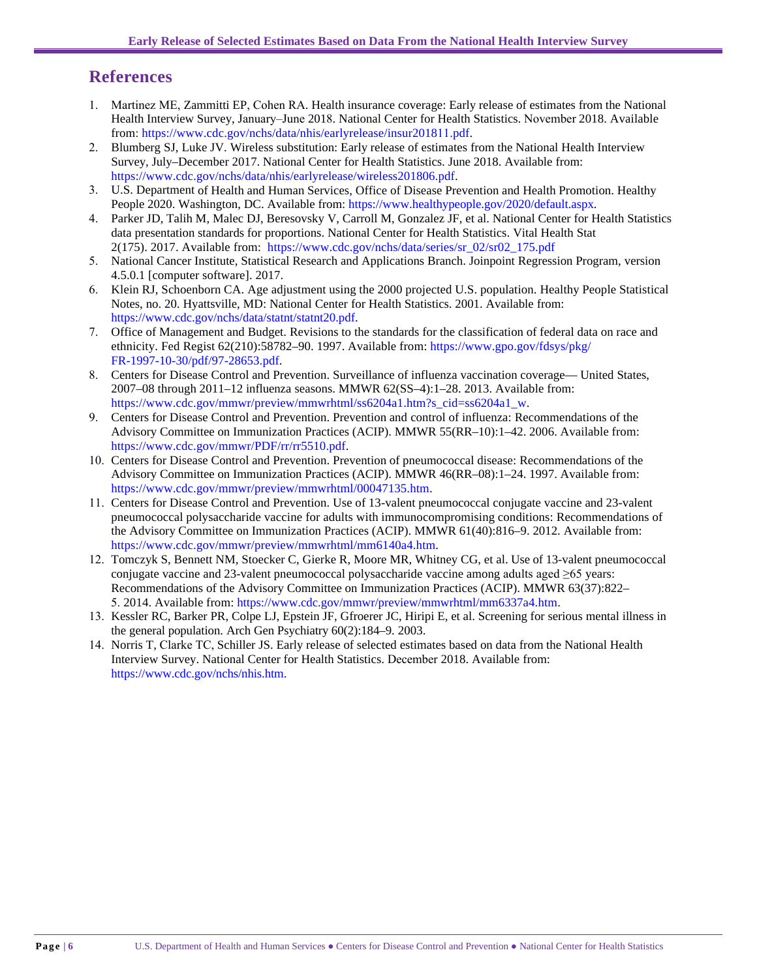# **References**

- 1. Martinez ME, Zammitti EP, Cohen RA. Health insurance coverage: Early release of estimates from the National Health Interview Survey, January–June 2018. National Center for Health Statistics. November 2018. Available from: [https://www.cdc.gov/nchs/data/nhis/earlyrelease/insur2018](https://www.cdc.gov/nchs/data/nhis/earlyrelease/insur201805.pdf)11.pdf.
- 2. Blumberg SJ, Luke JV. Wireless substitution: Early release of estimates from the National Health Interview Survey, July–December 2017. National Center for Health Statistics. June 2018. Available from: <https://www.cdc.gov/nchs/data/nhis/earlyrelease/wireless201806.pdf>.
- 3. U.S. Department of Health and Human Services, Office of Disease Prevention and Health Promotion. Healthy People 2020. Washington, DC. Available from: [https://www.healthypeople.gov/2020/default.aspx.](http://www.healthypeople.gov/2020/default.aspx)
- 4. Parker JD, Talih M, Malec DJ, Beresovsky V, Carroll M, Gonzalez JF, et al. National Center for Health Statistics data presentation standards for proportions. National Center for Health Statistics. Vital Health Stat 2(175). 2017. Available from: [https://www.cdc.gov/nchs/data/series/sr\\_02/sr02\\_175.pdf](https://www.cdc.gov/nchs/data/series/sr_02/sr02_175.pdf)
- 5. National Cancer Institute, Statistical Research and Applications Branch. Joinpoint Regression Program, version 4.5.0.1 [computer software]. 2017.
- 6. Klein RJ, Schoenborn CA. Age adjustment using the 2000 projected U.S. population. Healthy People Statistical Notes, no. 20. Hyattsville, MD: National Center for Health Statistics. 2001. Available from: [https://www.cdc.gov/nchs/data/statnt/statnt20.pdf.](http://www.cdc.gov/nchs/data/statnt/statnt20.pdf)
- 7. Office of Management and Budget. Revisions to the standards for the classification of federal data on race and ethnicity. Fed Regist 62(210):58782–90. 1997. Available from: [https://www.gpo.gov/fdsys/pkg/](https://www.gpo.gov/fdsys/pkg/FR-1997-10-30/pdf/97-28653.pdf) [FR-1997-10-30/pdf/9](https://www.gpo.gov/fdsys/pkg/FR-1997-10-30/pdf/97-28653.pdf)7-28653.pdf.
- 8. Centers for Disease Control and Prevention. Surveillance of influenza vaccination coverage— United States, 2007–08 through 2011–12 influenza seasons. MMWR 62(SS–4):1–28. 2013. Available from: [https://www.cdc.gov/mmwr/preview/mmwrhtml/ss6204a1.htm?s\\_cid=ss6204a1\\_w](http://www.cdc.gov/mmwr/preview/mmwrhtml/ss6204a1.htm?s_cid=ss6204a1_w).
- 9. Centers for Disease Control and Prevention. Prevention and control of influenza: Recommendations of the Advisory Committee on Immunization Practices (ACIP). MMWR 55(RR–10):1–42. 2006. Available from: [https://www.cdc.gov/mmwr/PDF/rr/rr5510.pdf.](http://www.cdc.gov/mmwr/PDF/rr/rr5510.pdf)
- 10. Centers for Disease Control and Prevention. Prevention of pneumococcal disease: Recommendations of the Advisory Committee on Immunization Practices (ACIP). MMWR 46(RR–08):1–24. 1997. Available from: [https://www.cdc.gov/mmwr/preview/mmwrhtml/00047135.htm.](http://www.cdc.gov/mmwr/preview/mmwrhtml/00047135.htm)
- 11. Centers for Disease Control and Prevention. Use of 13-valent pneumococcal conjugate vaccine and 23-valent pneumococcal polysaccharide vaccine for adults with immunocompromising conditions: Recommendations of the Advisory Committee on Immunization Practices (ACIP). MMWR 61(40):816–9. 2012. Available from: [https://www.cdc.gov/mmwr/preview/mmwrhtml/mm6140a4.htm](http://www.cdc.gov/mmwr/preview/mmwrhtml/mm6140a4.htm).
- 12. Tomczyk S, Bennett NM, Stoecker C, Gierke R, Moore MR, Whitney CG, et al. Use of 13-valent pneumococcal conjugate vaccine and 23-valent pneumococcal polysaccharide vaccine among adults aged ≥65 years: Recommendations of the Advisory Committee on Immunization Practices (ACIP). MMWR 63(37):822– 5. 2014. Available from: [https://www.cdc.gov/mmwr/preview/mmwrhtml/mm6337a4.htm.](http://www.cdc.gov/mmwr/preview/mmwrhtml/mm6337a4.htm)
- 13. Kessler RC, Barker PR, Colpe LJ, Epstein JF, Gfroerer JC, Hiripi E, et al. Screening for serious mental illness in the general population. Arch Gen Psychiatry 60(2):184–9. 2003.
- 14. Norris T, Clarke TC, Schiller JS. Early release of selected estimates based on data from the National Health Interview Survey. National Center for Health Statistics. December 2018. Available from: [https://www.cdc.gov/nchs/nhis.htm.](http://www.cdc.gov/nchs/nhis.htm)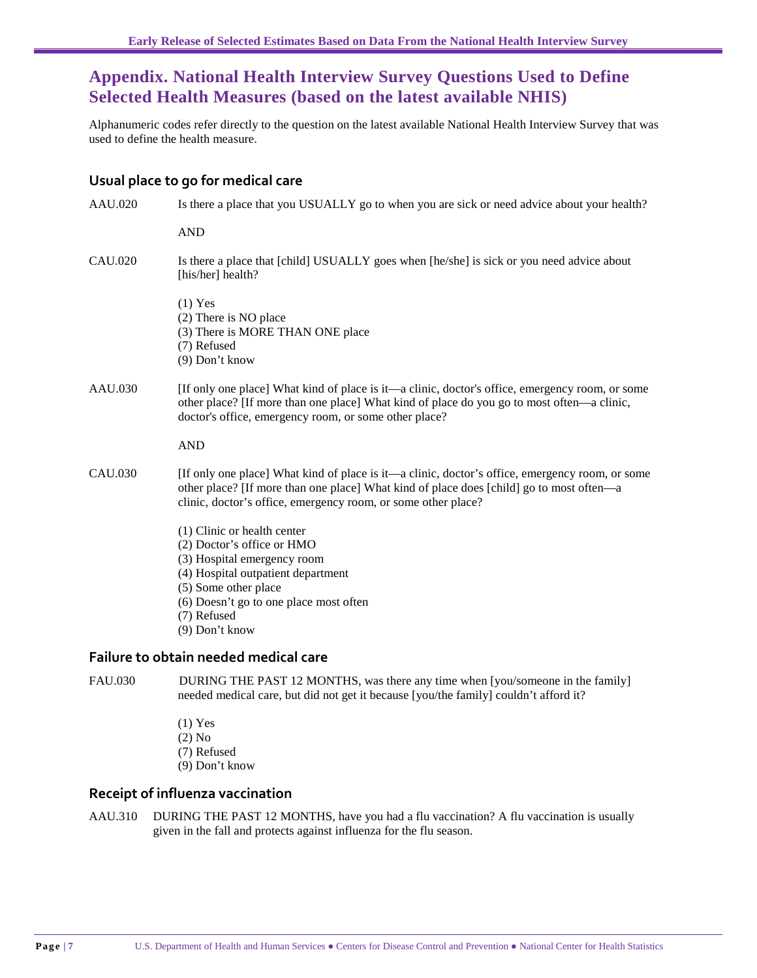# <span id="page-6-0"></span>**Appendix. National Health Interview Survey Questions Used to Define Selected Health Measures (based on the latest available NHIS)**

Alphanumeric codes refer directly to the question on the latest available National Health Interview Survey that was used to define the health measure.

#### **Usual place to go for medical care**

| AAU.020        | Is there a place that you USUALLY go to when you are sick or need advice about your health?                                                                                                                                                                  |
|----------------|--------------------------------------------------------------------------------------------------------------------------------------------------------------------------------------------------------------------------------------------------------------|
|                | <b>AND</b>                                                                                                                                                                                                                                                   |
| CAU.020        | Is there a place that [child] USUALLY goes when [he/she] is sick or you need advice about<br>[his/her] health?                                                                                                                                               |
|                | $(1)$ Yes<br>(2) There is NO place<br>(3) There is MORE THAN ONE place<br>(7) Refused<br>(9) Don't know                                                                                                                                                      |
| AAU.030        | [If only one place] What kind of place is it—a clinic, doctor's office, emergency room, or some<br>other place? [If more than one place] What kind of place do you go to most often—a clinic,<br>doctor's office, emergency room, or some other place?       |
|                | <b>AND</b>                                                                                                                                                                                                                                                   |
| CAU.030        | [If only one place] What kind of place is it—a clinic, doctor's office, emergency room, or some<br>other place? [If more than one place] What kind of place does [child] go to most often—a<br>clinic, doctor's office, emergency room, or some other place? |
|                | (1) Clinic or health center<br>(2) Doctor's office or HMO<br>(3) Hospital emergency room<br>(4) Hospital outpatient department<br>(5) Some other place<br>(6) Doesn't go to one place most often<br>(7) Refused<br>$(9)$ Don't know                          |
|                | Failure to obtain needed medical care                                                                                                                                                                                                                        |
| <b>FAU.030</b> | DURING THE PAST 12 MONTHS, was there any time when [you/someone in the family]                                                                                                                                                                               |

needed medical care, but did not get it because [you/the family] couldn't afford it?

(1) Yes (2) No (7) Refused (9) Don't know

### **Receipt of influenza vaccination**

AAU.310 DURING THE PAST 12 MONTHS, have you had a flu vaccination? A flu vaccination is usually given in the fall and protects against influenza for the flu season.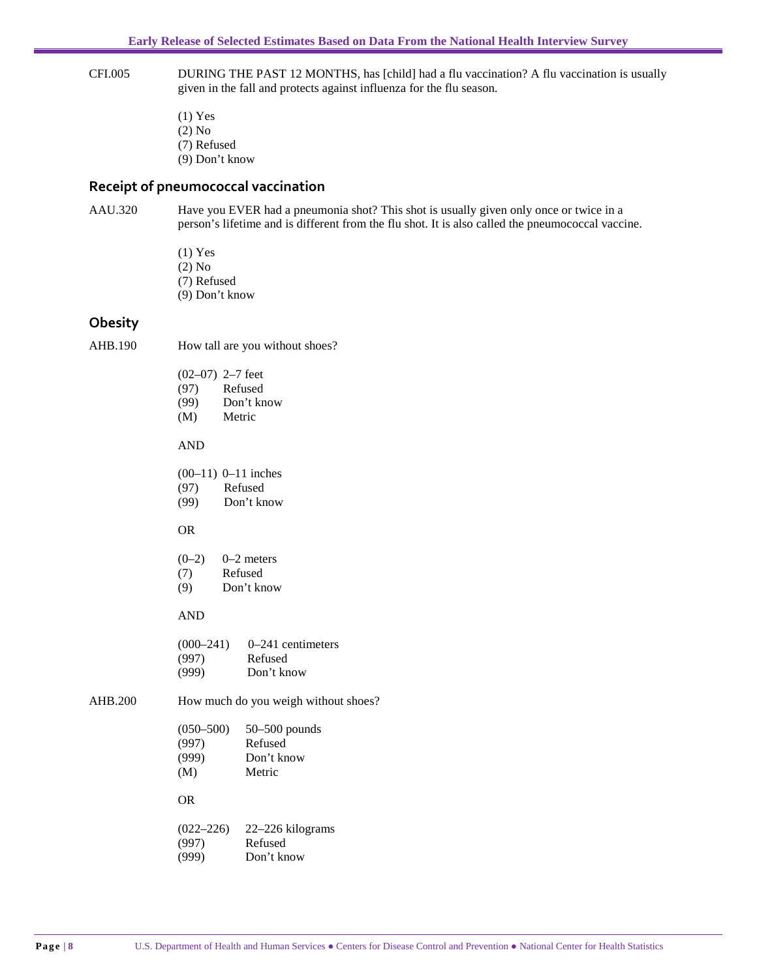- CFI.005 DURING THE PAST 12 MONTHS, has [child] had a flu vaccination? A flu vaccination is usually given in the fall and protects against influenza for the flu season.
	- (1) Yes (2) No (7) Refused (9) Don't know

#### **Receipt of pneumococcal vaccination**

AAU.320 Have you EVER had a pneumonia shot? This shot is usually given only once or twice in a person's lifetime and is different from the flu shot. It is also called the pneumococcal vaccine.

> (1) Yes (2) No (7) Refused (9) Don't know

#### **Obesity**

AHB.190 How tall are you without shoes?

| $(02-07)$ 2-7 feet |  |  |
|--------------------|--|--|
|                    |  |  |

- (97) Refused (99) Don't know
- (M) Metric
- 

#### AND

| $(00-11)$ 0-11 inches |  |  |
|-----------------------|--|--|
|-----------------------|--|--|

- (97) Refused
- (99) Don't know

#### OR

- $(0-2)$  0–2 meters
- (7) Refused
- (9) Don't know

#### AND

| $(000-241)$ | $0-241$ centimeters |
|-------------|---------------------|
| (997)       | Refused             |
| (999)       | Don't know          |

AHB.200 How much do you weigh without shoes?

| $(050 - 500)$ | $50 - 500$ pounds |
|---------------|-------------------|
| (997)         | Refused           |
| (999)         | Don't know        |

(M) Metric

#### OR

| $(022 - 226)$ | 22-226 kilograms |
|---------------|------------------|
| (997)         | Refused          |
| (999)         | Don't know       |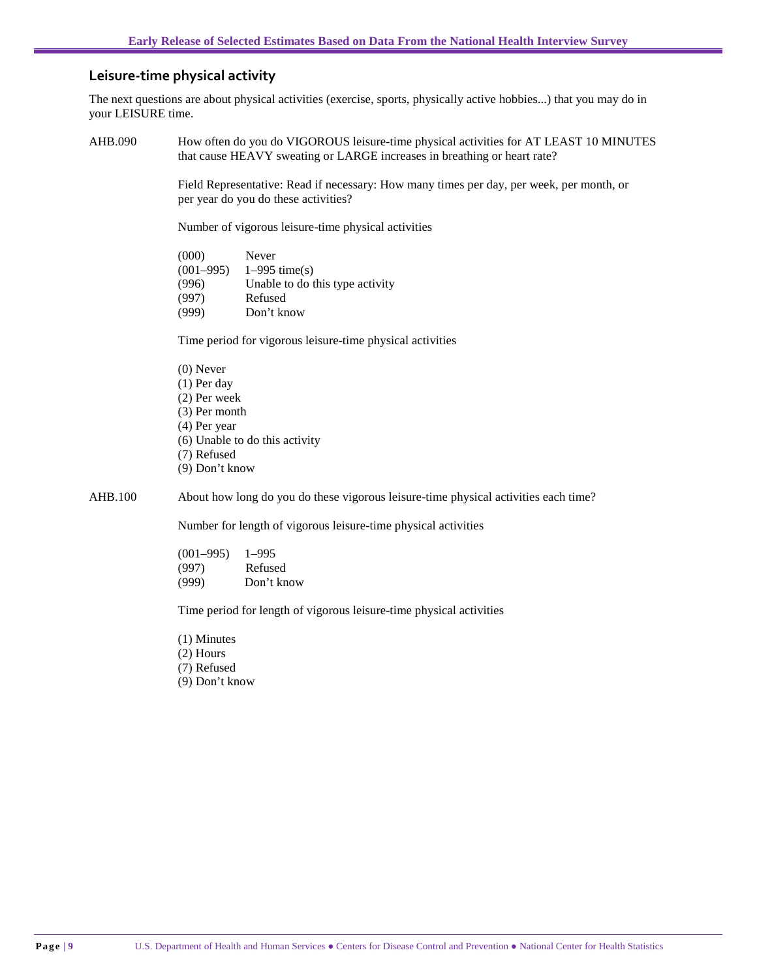#### **Leisure-time physical activity**

The next questions are about physical activities (exercise, sports, physically active hobbies...) that you may do in your LEISURE time.

AHB.090 How often do you do VIGOROUS leisure-time physical activities for AT LEAST 10 MINUTES that cause HEAVY sweating or LARGE increases in breathing or heart rate?

> Field Representative: Read if necessary: How many times per day, per week, per month, or per year do you do these activities?

Number of vigorous leisure-time physical activities

| (000)         | Never                           |
|---------------|---------------------------------|
| $(001 - 995)$ | $1-995$ time(s)                 |
| (996)         | Unable to do this type activity |
| (997)         | Refused                         |
| (999)         | Don't know                      |

Time period for vigorous leisure-time physical activities

(0) Never (1) Per day (2) Per week (3) Per month (4) Per year (6) Unable to do this activity (7) Refused (9) Don't know

AHB.100 About how long do you do these vigorous leisure-time physical activities each time?

Number for length of vigorous leisure-time physical activities

(001–995) 1–995 (997) Refused (999) Don't know

Time period for length of vigorous leisure-time physical activities

(1) Minutes

(2) Hours

(7) Refused

(9) Don't know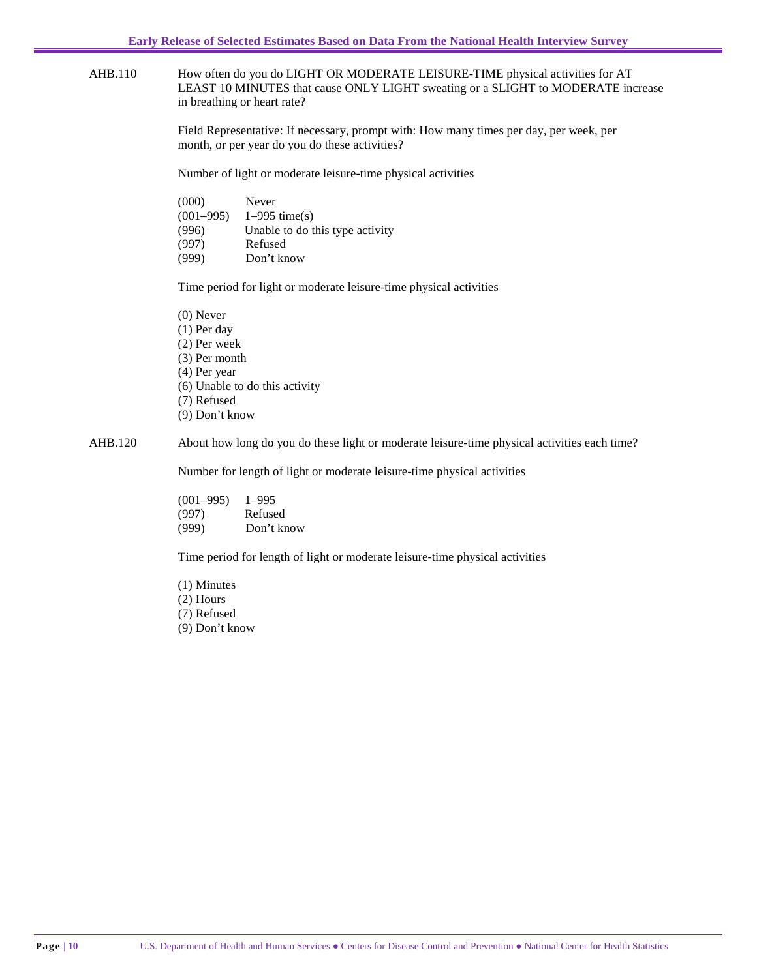AHB.110 How often do you do LIGHT OR MODERATE LEISURE-TIME physical activities for AT LEAST 10 MINUTES that cause ONLY LIGHT sweating or a SLIGHT to MODERATE increase in breathing or heart rate?

> Field Representative: If necessary, prompt with: How many times per day, per week, per month, or per year do you do these activities?

Number of light or moderate leisure-time physical activities

| (000)       | Never                           |
|-------------|---------------------------------|
| $(001-995)$ | $1-995$ time(s)                 |
| (996)       | Unable to do this type activity |
| (997)       | Refused                         |
| (999)       | Don't know                      |

Time period for light or moderate leisure-time physical activities

(0) Never (1) Per day (2) Per week (3) Per month (4) Per year (6) Unable to do this activity (7) Refused (9) Don't know

AHB.120 About how long do you do these light or moderate leisure-time physical activities each time?

Number for length of light or moderate leisure-time physical activities

| $(001 - 995)$ | $1 - 995$  |
|---------------|------------|
| (997)         | Refused    |
| (999)         | Don't know |

Time period for length of light or moderate leisure-time physical activities

(1) Minutes (2) Hours (7) Refused (9) Don't know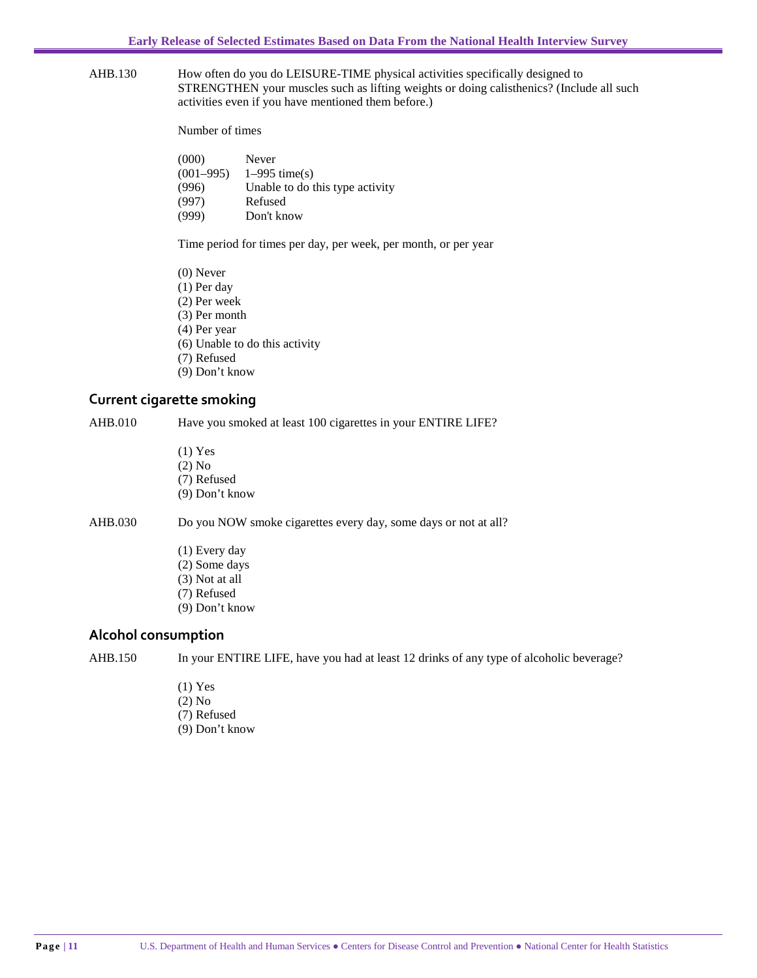AHB.130 How often do you do LEISURE-TIME physical activities specifically designed to STRENGTHEN your muscles such as lifting weights or doing calisthenics? (Include all such activities even if you have mentioned them before.)

Number of times

| (000)       | Never                           |
|-------------|---------------------------------|
| $(001-995)$ | $1-995$ time(s)                 |
| (996)       | Unable to do this type activity |
| (997)       | Refused                         |
| (999)       | Don't know                      |

Time period for times per day, per week, per month, or per year

| $(0)$ Never                    |
|--------------------------------|
| $(1)$ Per day                  |
| (2) Per week                   |
| $(3)$ Per month                |
| (4) Per year                   |
| (6) Unable to do this activity |
| (7) Refused                    |
| $(9)$ Don't know               |
|                                |

#### **Current cigarette smoking**

AHB.010 Have you smoked at least 100 cigarettes in your ENTIRE LIFE?

(1) Yes (2) No (7) Refused (9) Don't know

AHB.030 Do you NOW smoke cigarettes every day, some days or not at all?

- (1) Every day (2) Some days (3) Not at all
- (7) Refused
- (9) Don't know

#### **Alcohol consumption**

AHB.150 In your ENTIRE LIFE, have you had at least 12 drinks of any type of alcoholic beverage?

- (1) Yes
- (2) No
- (7) Refused
- (9) Don't know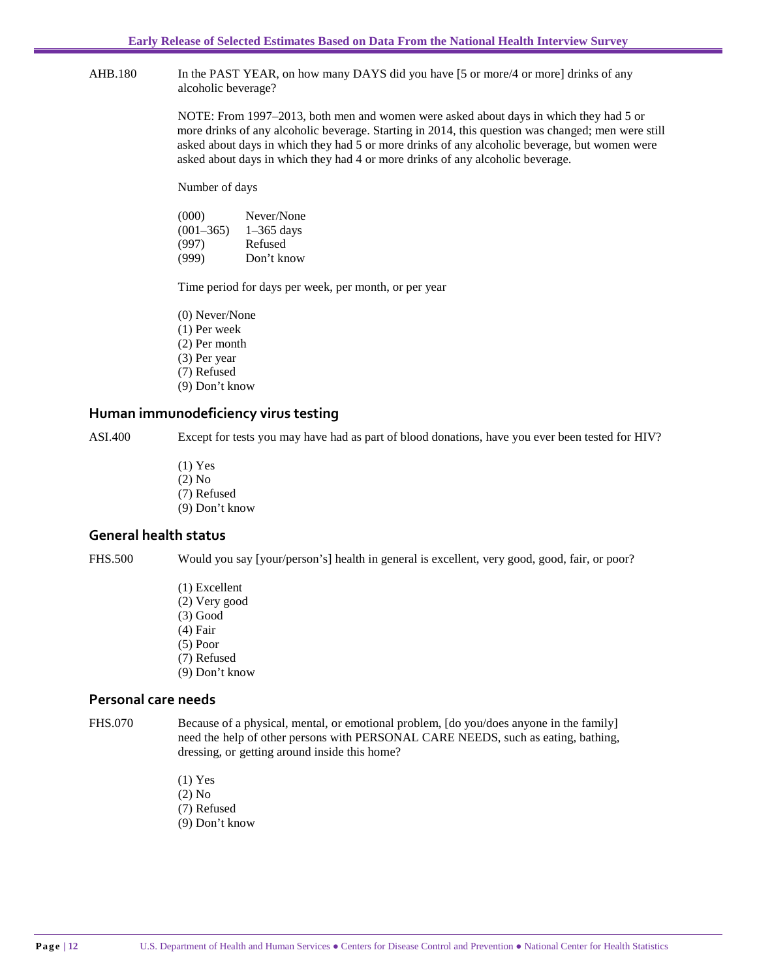AHB.180 In the PAST YEAR, on how many DAYS did you have [5 or more/4 or more] drinks of any alcoholic beverage?

> NOTE: From 1997–2013, both men and women were asked about days in which they had 5 or more drinks of any alcoholic beverage. Starting in 2014, this question was changed; men were still asked about days in which they had 5 or more drinks of any alcoholic beverage, but women were asked about days in which they had 4 or more drinks of any alcoholic beverage.

Number of days

| (000)         | Never/None   |
|---------------|--------------|
| $(001 - 365)$ | $1-365$ days |
| (997)         | Refused      |
| (999)         | Don't know   |

Time period for days per week, per month, or per year

(0) Never/None

- (1) Per week
- (2) Per month
- (3) Per year
- (7) Refused
- (9) Don't know

#### **Human immunodeficiency virus testing**

ASI.400 Except for tests you may have had as part of blood donations, have you ever been tested for HIV?

- (1) Yes (2) No (7) Refused
- (9) Don't know

#### **General health status**

FHS.500 Would you say [your/person's] health in general is excellent, very good, good, fair, or poor?

- (1) Excellent (2) Very good
- (3) Good
- (4) Fair
- (5) Poor
- (7) Refused
- (9) Don't know

#### **Personal care needs**

FHS.070 Because of a physical, mental, or emotional problem, [do you/does anyone in the family] need the help of other persons with PERSONAL CARE NEEDS, such as eating, bathing, dressing, or getting around inside this home?

- (1) Yes
- (2) No
- (7) Refused
- (9) Don't know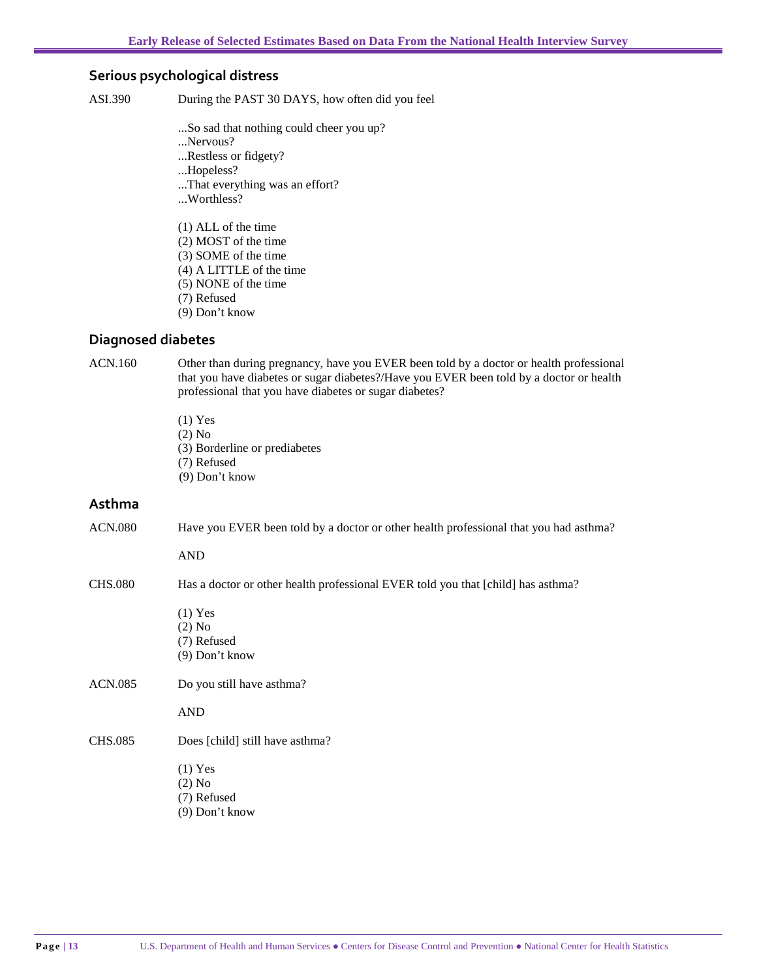#### **Serious psychological distress**

ASI.390 During the PAST 30 DAYS, how often did you feel

- ...So sad that nothing could cheer you up?
- ...Nervous?
- ...Restless or fidgety?
- ...Hopeless?
- ...That everything was an effort?
- ...Worthless?
- (1) ALL of the time (2) MOST of the time
- (3) SOME of the time
- (4) A LITTLE of the time
- (5) NONE of the time
- (7) Refused
- (9) Don't know

#### **Diagnosed diabetes**

ACN.160 Other than during pregnancy, have you EVER been told by a doctor or health professional that you have diabetes or sugar diabetes?/Have you EVER been told by a doctor or health professional that you have diabetes or sugar diabetes?

> (1) Yes (2) No (3) Borderline or prediabetes (7) Refused (9) Don't know

#### **Asthma**

ACN.080 Have you EVER been told by a doctor or other health professional that you had asthma?

AND

CHS.080 Has a doctor or other health professional EVER told you that [child] has asthma?

- (1) Yes
- (2) No
- (7) Refused (9) Don't know
- 
- ACN.085 Do you still have asthma?
	- AND
- CHS.085 Does [child] still have asthma?
	- (1) Yes
	- (2) No
	- (7) Refused
	- (9) Don't know